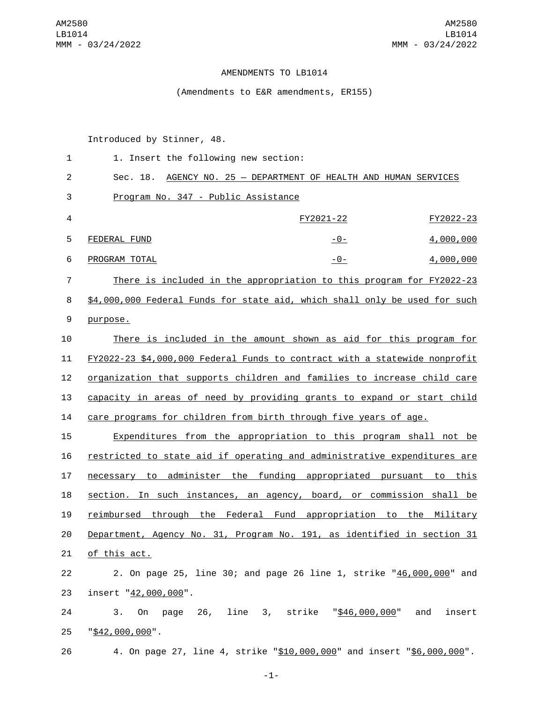## AMENDMENTS TO LB1014

(Amendments to E&R amendments, ER155)

Introduced by Stinner, 48.

| 1              | 1. Insert the following new section:                                       |                                                        |               |
|----------------|----------------------------------------------------------------------------|--------------------------------------------------------|---------------|
| $\overline{c}$ | Sec. 18.<br>AGENCY NO. 25 - DEPARTMENT OF HEALTH AND HUMAN SERVICES        |                                                        |               |
| 3              | Program No. 347 - Public Assistance                                        |                                                        |               |
| 4              |                                                                            | FY2021-22                                              | FY2022-23     |
| 5              | FEDERAL FUND                                                               | <u> - 0 - </u>                                         | 4,000,000     |
| 6              | PROGRAM TOTAL                                                              | $-0-$                                                  | 4,000,000     |
| 7              | There is included in the appropriation to this program for FY2022-23       |                                                        |               |
| 8              | \$4,000,000 Federal Funds for state aid, which shall only be used for such |                                                        |               |
| 9              | purpose.                                                                   |                                                        |               |
| 10             | There is included in the amount shown as aid for this program for          |                                                        |               |
| 11             | FY2022-23 \$4,000,000 Federal Funds to contract with a statewide nonprofit |                                                        |               |
| 12             | organization that supports children and families to increase child care    |                                                        |               |
| 13             | capacity in areas of need by providing grants to expand or start child     |                                                        |               |
| 14             | care programs for children from birth through five years of age.           |                                                        |               |
| 15             | Expenditures from the appropriation to this program shall not be           |                                                        |               |
| 16             | restricted to state aid if operating and administrative expenditures are   |                                                        |               |
| 17             | necessary to administer the funding appropriated pursuant to this          |                                                        |               |
| 18             | section. In such instances, an agency, board, or commission shall be       |                                                        |               |
| 19             | reimbursed                                                                 | through the Federal Fund appropriation to the Military |               |
| 20             | Department, Agency No. 31, Program No. 191, as identified in section 31    |                                                        |               |
| 21             | of this act.                                                               |                                                        |               |
| 22             | 2. On page 25, line 30; and page 26 line 1, strike "46,000,000" and        |                                                        |               |
| 23             | insert "42,000,000".                                                       |                                                        |               |
| 24             | 3.<br>0n                                                                   | page 26, line 3, strike " <u>\$46,000,000</u> "        | and<br>insert |
| 25             | "\$42,000,000".                                                            |                                                        |               |
| 26             | 4. On page 27, line 4, strike "\$10,000,000" and insert "\$6,000,000".     |                                                        |               |

-1-